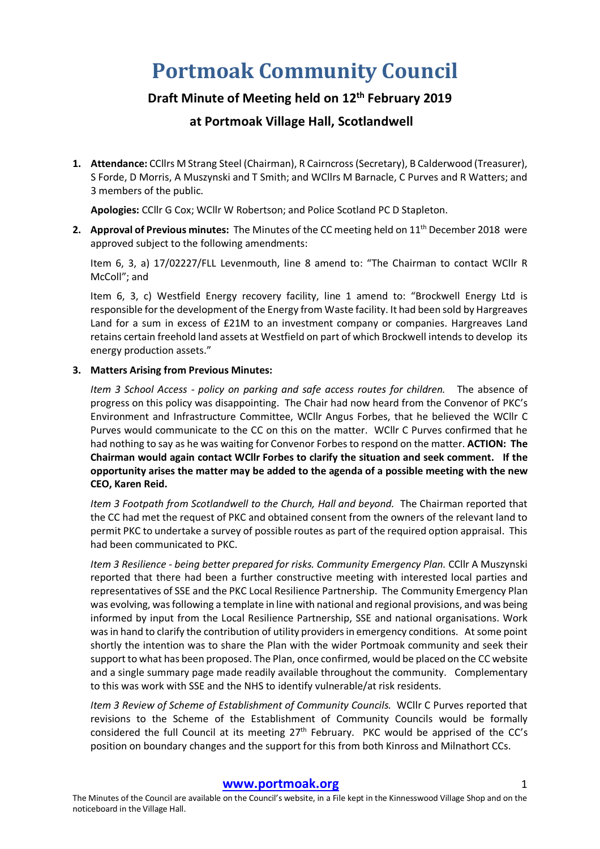# **Portmoak Community Council**

# **Draft Minute of Meeting held on 12th February 2019**

# **at Portmoak Village Hall, Scotlandwell**

**1. Attendance:** CCllrs M Strang Steel (Chairman), R Cairncross (Secretary), B Calderwood (Treasurer), S Forde, D Morris, A Muszynski and T Smith; and WCllrs M Barnacle, C Purves and R Watters; and 3 members of the public.

**Apologies:** CCllr G Cox; WCllr W Robertson; and Police Scotland PC D Stapleton.

**2. Approval of Previous minutes:** The Minutes of the CC meeting held on 11th December 2018 were approved subject to the following amendments:

Item 6, 3, a) 17/02227/FLL Levenmouth, line 8 amend to: "The Chairman to contact WCllr R McColl"; and

Item 6, 3, c) Westfield Energy recovery facility, line 1 amend to: "Brockwell Energy Ltd is responsible for the development of the Energy from Waste facility. It had been sold by Hargreaves Land for a sum in excess of £21M to an investment company or companies. Hargreaves Land retains certain freehold land assets at Westfield on part of which Brockwell intends to develop its energy production assets."

# **3. Matters Arising from Previous Minutes:**

*Item 3 School Access - policy on parking and safe access routes for children.* The absence of progress on this policy was disappointing. The Chair had now heard from the Convenor of PKC's Environment and Infrastructure Committee, WCllr Angus Forbes, that he believed the WCllr C Purves would communicate to the CC on this on the matter. WCllr C Purves confirmed that he had nothing to say as he was waiting for Convenor Forbes to respond on the matter. **ACTION: The Chairman would again contact WCllr Forbes to clarify the situation and seek comment. If the opportunity arises the matter may be added to the agenda of a possible meeting with the new CEO, Karen Reid.**

*Item 3 Footpath from Scotlandwell to the Church, Hall and beyond.* The Chairman reported that the CC had met the request of PKC and obtained consent from the owners of the relevant land to permit PKC to undertake a survey of possible routes as part of the required option appraisal. This had been communicated to PKC.

*Item 3 Resilience - being better prepared for risks. Community Emergency Plan.* CCllr A Muszynski reported that there had been a further constructive meeting with interested local parties and representatives of SSE and the PKC Local Resilience Partnership. The Community Emergency Plan was evolving, was following a template in line with national and regional provisions, and was being informed by input from the Local Resilience Partnership, SSE and national organisations. Work was in hand to clarify the contribution of utility providers in emergency conditions. At some point shortly the intention was to share the Plan with the wider Portmoak community and seek their support to what has been proposed. The Plan, once confirmed, would be placed on the CC website and a single summary page made readily available throughout the community. Complementary to this was work with SSE and the NHS to identify vulnerable/at risk residents.

*Item 3 Review of Scheme of Establishment of Community Councils.* WCllr C Purves reported that revisions to the Scheme of the Establishment of Community Councils would be formally considered the full Council at its meeting 27<sup>th</sup> February. PKC would be apprised of the CC's position on boundary changes and the support for this from both Kinross and Milnathort CCs.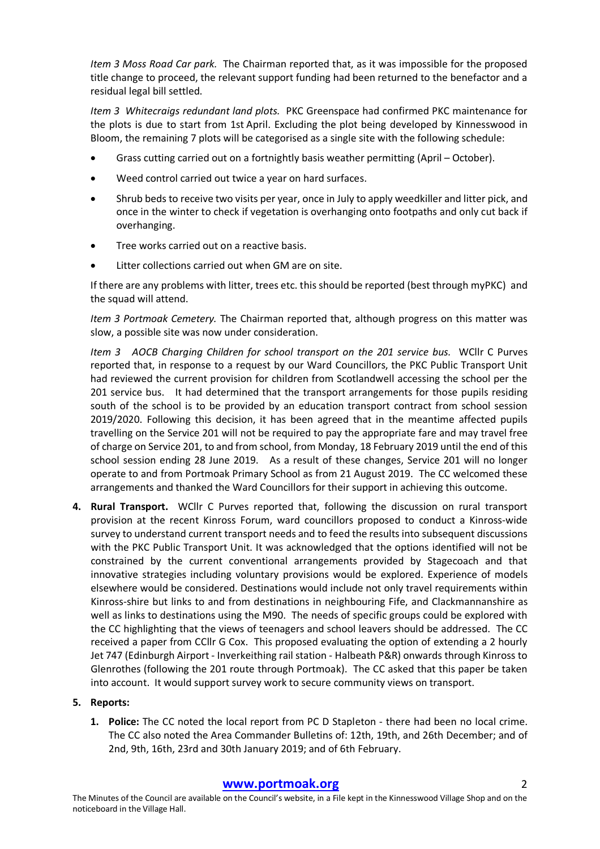*Item 3 Moss Road Car park.* The Chairman reported that, as it was impossible for the proposed title change to proceed, the relevant support funding had been returned to the benefactor and a residual legal bill settled.

*Item 3 Whitecraigs redundant land plots.* PKC Greenspace had confirmed PKC maintenance for the plots is due to start from 1st April. Excluding the plot being developed by Kinnesswood in Bloom, the remaining 7 plots will be categorised as a single site with the following schedule:

- Grass cutting carried out on a fortnightly basis weather permitting (April October).
- Weed control carried out twice a year on hard surfaces.
- Shrub beds to receive two visits per year, once in July to apply weedkiller and litter pick, and once in the winter to check if vegetation is overhanging onto footpaths and only cut back if overhanging.
- Tree works carried out on a reactive basis.
- Litter collections carried out when GM are on site.

If there are any problems with litter, trees etc. this should be reported (best through myPKC) and the squad will attend.

*Item 3 Portmoak Cemetery.* The Chairman reported that, although progress on this matter was slow, a possible site was now under consideration.

*Item 3 AOCB Charging Children for school transport on the 201 service bus.* WCllr C Purves reported that, in response to a request by our Ward Councillors, the PKC Public Transport Unit had reviewed the current provision for children from Scotlandwell accessing the school per the 201 service bus. It had determined that the transport arrangements for those pupils residing south of the school is to be provided by an education transport contract from school session 2019/2020. Following this decision, it has been agreed that in the meantime affected pupils travelling on the Service 201 will not be required to pay the appropriate fare and may travel free of charge on Service 201, to and from school, from Monday, 18 February 2019 until the end of this school session ending 28 June 2019. As a result of these changes, Service 201 will no longer operate to and from Portmoak Primary School as from 21 August 2019. The CC welcomed these arrangements and thanked the Ward Councillors for their support in achieving this outcome.

**4. Rural Transport.** WCllr C Purves reported that, following the discussion on rural transport provision at the recent Kinross Forum, ward councillors proposed to conduct a Kinross-wide survey to understand current transport needs and to feed the results into subsequent discussions with the PKC Public Transport Unit. It was acknowledged that the options identified will not be constrained by the current conventional arrangements provided by Stagecoach and that innovative strategies including voluntary provisions would be explored. Experience of models elsewhere would be considered. Destinations would include not only travel requirements within Kinross-shire but links to and from destinations in neighbouring Fife, and Clackmannanshire as well as links to destinations using the M90. The needs of specific groups could be explored with the CC highlighting that the views of teenagers and school leavers should be addressed. The CC received a paper from CCllr G Cox. This proposed evaluating the option of extending a 2 hourly Jet 747 (Edinburgh Airport - Inverkeithing rail station - Halbeath P&R) onwards through Kinross to Glenrothes (following the 201 route through Portmoak). The CC asked that this paper be taken into account. It would support survey work to secure community views on transport.

# **5. Reports:**

**1. Police:** The CC noted the local report from PC D Stapleton - there had been no local crime. The CC also noted the Area Commander Bulletins of: 12th, 19th, and 26th December; and of 2nd, 9th, 16th, 23rd and 30th January 2019; and of 6th February.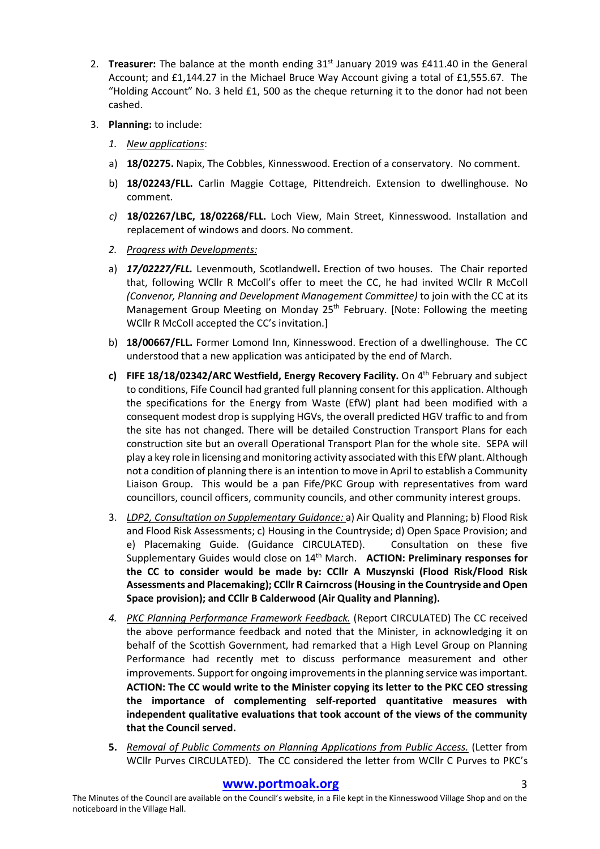- 2. **Treasurer:** The balance at the month ending 31st January 2019 was £411.40 in the General Account; and £1,144.27 in the Michael Bruce Way Account giving a total of £1,555.67. The "Holding Account" No. 3 held £1, 500 as the cheque returning it to the donor had not been cashed.
- 3. **Planning:** to include:
	- *1. New applications*:
	- a) **18/02275.** Napix, The Cobbles, Kinnesswood. Erection of a conservatory. No comment.
	- b) **18/02243/FLL.** Carlin Maggie Cottage, Pittendreich. Extension to dwellinghouse. No comment.
	- *c)* **18/02267/LBC, 18/02268/FLL.** Loch View, Main Street, Kinnesswood. Installation and replacement of windows and doors. No comment.
	- *2. Progress with Developments:*
	- a) *17/02227/FLL.* Levenmouth, Scotlandwell**.** Erection of two houses. The Chair reported that, following WCllr R McColl's offer to meet the CC, he had invited WCllr R McColl *(Convenor, Planning and Development Management Committee)* to join with the CC at its Management Group Meeting on Monday 25<sup>th</sup> February. [Note: Following the meeting WCllr R McColl accepted the CC's invitation.]
	- b) **18/00667/FLL.** Former Lomond Inn, Kinnesswood. Erection of a dwellinghouse. The CC understood that a new application was anticipated by the end of March.
	- **c) FIFE 18/18/02342/ARC Westfield, Energy Recovery Facility.** On 4th February and subject to conditions, Fife Council had granted full planning consent for this application. Although the specifications for the Energy from Waste (EfW) plant had been modified with a consequent modest drop is supplying HGVs, the overall predicted HGV traffic to and from the site has not changed. There will be detailed Construction Transport Plans for each construction site but an overall Operational Transport Plan for the whole site. SEPA will play a key role in licensing and monitoring activity associated with this EfW plant. Although not a condition of planning there is an intention to move in April to establish a Community Liaison Group. This would be a pan Fife/PKC Group with representatives from ward councillors, council officers, community councils, and other community interest groups.
	- 3. *LDP2, Consultation on Supplementary Guidance:* a) Air Quality and Planning; b) Flood Risk and Flood Risk Assessments; c) Housing in the Countryside; d) Open Space Provision; and e) Placemaking Guide. (Guidance CIRCULATED). Consultation on these five Supplementary Guides would close on 14th March. **ACTION: Preliminary responses for the CC to consider would be made by: CCllr A Muszynski (Flood Risk/Flood Risk Assessments and Placemaking); CCllr R Cairncross (Housing in the Countryside and Open Space provision); and CCllr B Calderwood (Air Quality and Planning).**
	- *4. PKC Planning Performance Framework Feedback.* (Report CIRCULATED) The CC received the above performance feedback and noted that the Minister, in acknowledging it on behalf of the Scottish Government, had remarked that a High Level Group on Planning Performance had recently met to discuss performance measurement and other improvements. Support for ongoing improvements in the planning service was important. **ACTION: The CC would write to the Minister copying its letter to the PKC CEO stressing the importance of complementing self-reported quantitative measures with independent qualitative evaluations that took account of the views of the community that the Council served.**
	- **5.** *Removal of Public Comments on Planning Applications from Public Access.* (Letter from WCllr Purves CIRCULATED). The CC considered the letter from WCllr C Purves to PKC's

# **www.portmoak.org** 3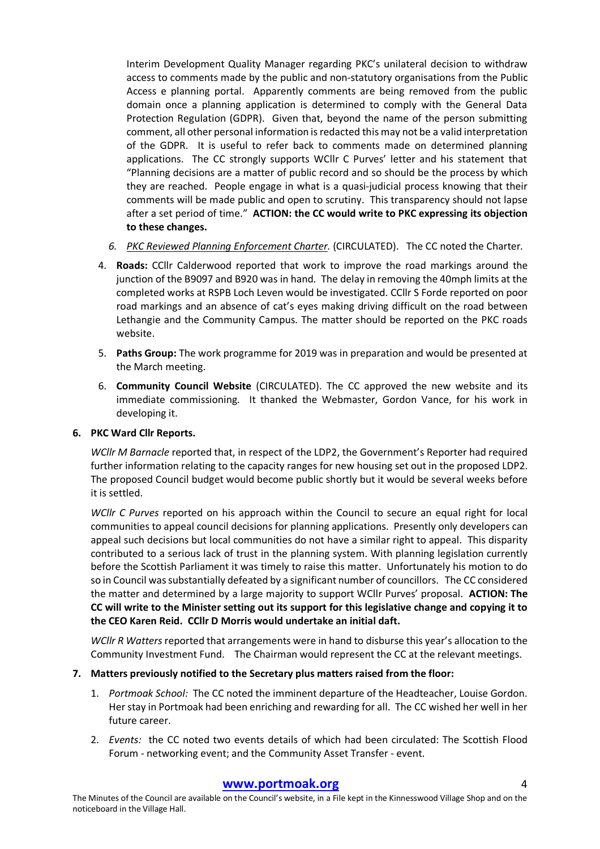Interim Development Quality Manager regarding PKC's unilateral decision to withdraw access to comments made by the public and non-statutory organisations from the Public Access e planning portal. Apparently comments are being removed from the public domain once a planning application is determined to comply with the General Data Protection Regulation (GDPR). Given that, beyond the name of the person submitting comment, all other personal information is redacted this may not be a valid interpretation of the GDPR. It is useful to refer back to comments made on determined planning applications. The CC strongly supports WCllr C Purves' letter and his statement that "Planning decisions are a matter of public record and so should be the process by which they are reached. People engage in what is a quasi-judicial process knowing that their comments will be made public and open to scrutiny. This transparency should not lapse after a set period of time." **ACTION: the CC would write to PKC expressing its objection to these changes.** 

- *6. PKC Reviewed Planning Enforcement Charter.* (CIRCULATED).The CC noted the Charter*.*
- 4. **Roads:** CCllr Calderwood reported that work to improve the road markings around the junction of the B9097 and B920 was in hand. The delay in removing the 40mph limits at the completed works at RSPB Loch Leven would be investigated. CCllr S Forde reported on poor road markings and an absence of cat's eyes making driving difficult on the road between Lethangie and the Community Campus. The matter should be reported on the PKC roads website.
- 5. **Paths Group:** The work programme for 2019 was in preparation and would be presented at the March meeting.
- 6. **Community Council Website** (CIRCULATED). The CC approved the new website and its immediate commissioning. It thanked the Webmaster, Gordon Vance, for his work in developing it.

# **6. PKC Ward Cllr Reports.**

*WCllr M Barnacle* reported that, in respect of the LDP2, the Government's Reporter had required further information relating to the capacity ranges for new housing set out in the proposed LDP2. The proposed Council budget would become public shortly but it would be several weeks before it is settled.

*WCllr C Purves* reported on his approach within the Council to secure an equal right for local communities to appeal council decisions for planning applications. Presently only developers can appeal such decisions but local communities do not have a similar right to appeal. This disparity contributed to a serious lack of trust in the planning system. With planning legislation currently before the Scottish Parliament it was timely to raise this matter. Unfortunately his motion to do so in Council was substantially defeated by a significant number of councillors. The CC considered the matter and determined by a large majority to support WCllr Purves' proposal. **ACTION: The CC will write to the Minister setting out its support for this legislative change and copying it to the CEO Karen Reid. CCllr D Morris would undertake an initial daft.** 

*WCllr R Watters* reported that arrangements were in hand to disburse this year's allocation to the Community Investment Fund. The Chairman would represent the CC at the relevant meetings.

# **7. Matters previously notified to the Secretary plus matters raised from the floor:**

- 1. *Portmoak School:* The CC noted the imminent departure of the Headteacher, Louise Gordon. Her stay in Portmoak had been enriching and rewarding for all. The CC wished her well in her future career.
- 2. *Events:* the CC noted two events details of which had been circulated: The Scottish Flood Forum - networking event; and the Community Asset Transfer - event.

# **www.portmoak.org** 4